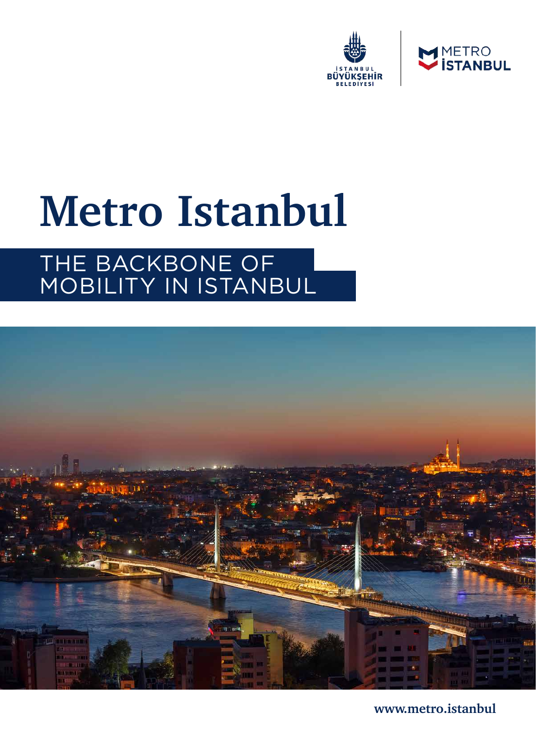



# **Metro Istanbul**

## THE BACKBONE OF MOBILITY IN ISTANBUL



**www.metro.istanbul**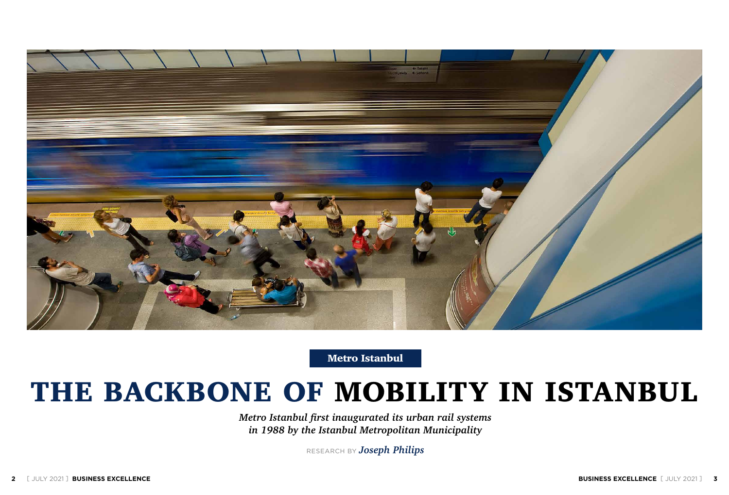*Metro Istanbul first inaugurated its urban rail systems in 1988 by the Istanbul Metropolitan Municipality*

RESEARCH BY *Joseph Philips*



Metro Istanbul

## THE BACKBONE OF MOBILITY IN ISTANBUL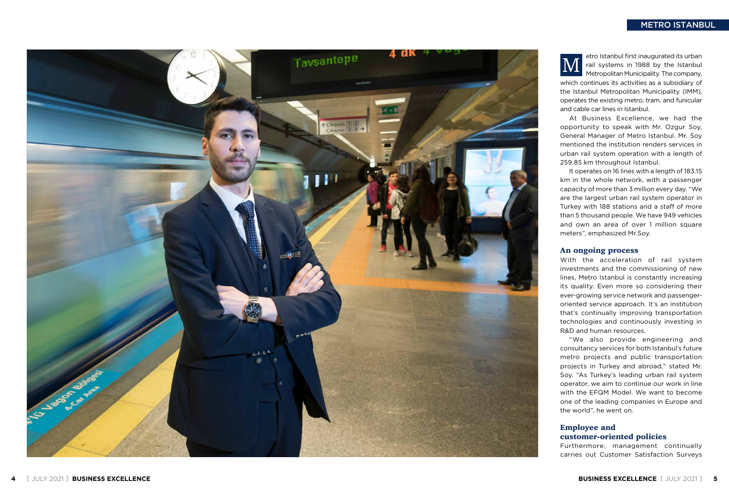etro Istanbul first inaugurated its urban rail systems in 1988 by the Istanbul Metropolitan Municipality. The company, which continues its activities as a subsidiary of

the Istanbul Metropolitan Municipality (IMM), operates the existing metro, tram, and funicular and cable car lines in Istanbul.

#### An ongoing process





At Business Excellence, we had the opportunity to speak with Mr. Ozgur Soy, General Manager of Metro Istanbul. Mr. Soy mentioned the institution renders services in urban rail system operation with a length of 259.85 km throughout Istanbul. It operates on 16 lines with a length of 183.15 km in the whole network, with a passenger capacity of more than 3 million every day. "We are the largest urban rail system operator in Turkey with 188 stations and a staff of more than 5 thousand people. We have 949 vehicles and own an area of over 1 million square meters", emphasized Mr.Soy. carries out Customer Satisfaction Surveys M

With the acceleration of rail system investments and the commissioning of new lines, Metro Istanbul is constantly increasing its quality. Even more so considering their ever-growing service network and passengeroriented service approach. It's an institution that's continually improving transportation technologies and continuously investing in R&D and human resources. "We also provide engineering and

consultancy services for both Istanbul's future metro projects and public transportation projects in Turkey and abroad," stated Mr. Soy. "As Turkey's leading urban rail system operator, we aim to continue our work in line with the EFQM Model. We want to become one of the leading companies in Europe and the world", he went on.

## Employee and

customer-oriented policies Furthermore, management continually

#### METRO ISTANBUL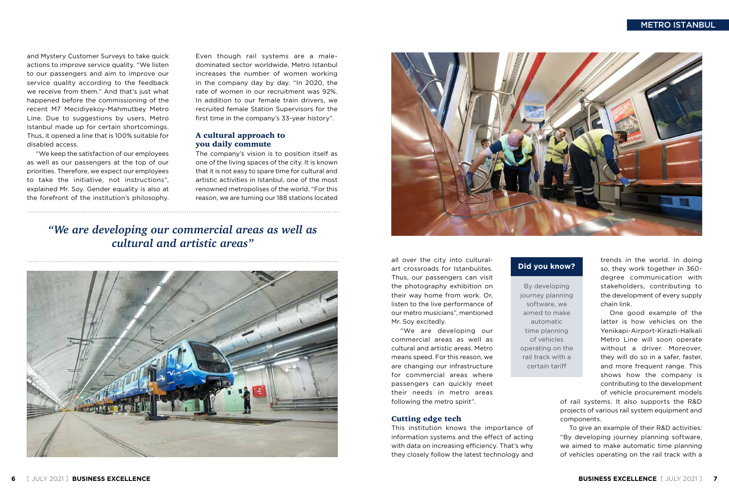and Mystery Customer Surveys to take quick actions to improve service quality. "We listen to our passengers and aim to improve our service quality according to the feedback we receive from them." And that's just what happened before the commissioning of the recent M7 Mecidiyekoy-Mahmutbey Metro Line. Due to suggestions by users, Metro Istanbul made up for certain shortcomings. Thus, it opened a line that is 100% suitable for disabled access.

"We keep the satisfaction of our employees as well as our passengers at the top of our priorities. Therefore, we expect our employees to take the initiative, not instructions", explained Mr. Soy. Gender equality is also at the forefront of the institution's philosophy.

Even though rail systems are a maledominated sector worldwide, Metro Istanbul increases the number of women working in the company day by day. "In 2020, the rate of women in our recruitment was 92%. In addition to our female train drivers, we recruited female Station Supervisors for the first time in the company's 33-year history".

#### A cultural approach to you daily commute

The company's vision is to position itself as one of the living spaces of the city. It is known that it is not easy to spare time for cultural and artistic activities in Istanbul, one of the most renowned metropolises of the world. "For this reason, we are turning our 188 stations located

#### METRO ISTANBUL



### *"We are developing our commercial areas as well as cultural and artistic areas"*





all over the city into culturalart crossroads for Istanbulites. Thus, our passengers can visit the photography exhibition on their way home from work. Or, listen to the live performance of our metro musicians", mentioned Mr. Soy excitedly.

"We are developing our commercial areas as well as cultural and artistic areas. Metro means speed. For this reason, we are changing our infrastructure for commercial areas where passengers can quickly meet their needs in metro areas following the metro spirit".

#### Cutting edge tech

This institution knows the importance of information systems and the effect of acting with data on increasing efficiency. That's why they closely follow the latest technology and trends in the world. In doing so, they work together in 360 degree communication with stakeholders, contributing to the development of every supply chain link.

One good example of the latter is how vehicles on the Yenikapi-Airport-Kirazli-Halkali Metro Line will soon operate without a driver. Moreover, they will do so in a safer, faster, and more frequent range. This shows how the company is contributing to the development of vehicle procurement models

of rail systems. It also supports the R&D projects of various rail system equipment and components.

To give an example of their R&D activities: "By developing journey planning software, we aimed to make automatic time planning of vehicles operating on the rail track with a

By developing journey planning software, we aimed to make automatic time planning of vehicles operating on the rail track with a certain tariff

#### **Did you know?**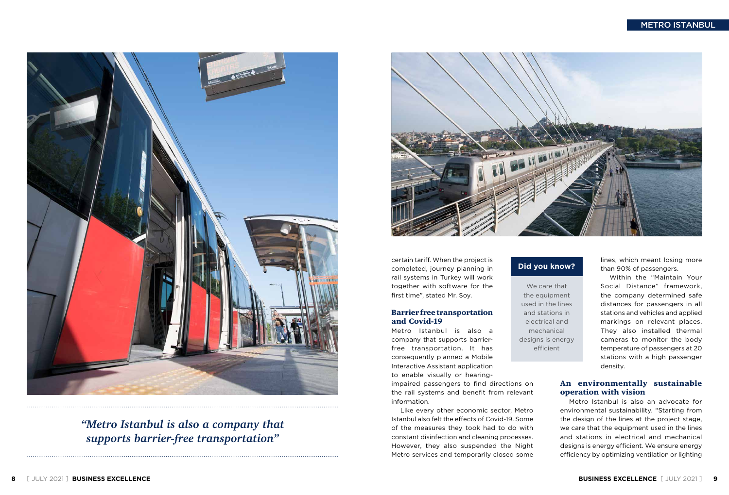#### METRO ISTANBUL





## *"Metro Istanbul is also a company that supports barrier-free transportation"*



certain tariff. When the project is completed, journey planning in rail systems in Turkey will work together with software for the first time", stated Mr. Soy.

#### Barrier free transportation and Covid-19

Metro Istanbul is also a company that supports barrierfree transportation. It has consequently planned a Mobile Interactive Assistant application to enable visually or hearing-

impaired passengers to find directions on the rail systems and benefit from relevant information.

Like every other economic sector, Metro Istanbul also felt the effects of Covid-19. Some of the measures they took had to do with constant disinfection and cleaning processes. However, they also suspended the Night Metro services and temporarily closed some lines, which meant losing more than 90% of passengers.

Within the "Maintain Your Social Distance" framework, the company determined safe distances for passengers in all stations and vehicles and applied markings on relevant places. They also installed thermal cameras to monitor the body temperature of passengers at 20 stations with a high passenger density.

#### An environmentally sustainable operation with vision

Metro Istanbul is also an advocate for environmental sustainability. "Starting from the design of the lines at the project stage, we care that the equipment used in the lines and stations in electrical and mechanical designs is energy efficient. We ensure energy efficiency by optimizing ventilation or lighting

We care that the equipment used in the lines and stations in electrical and mechanical designs is energy efficient

### **Did you know?**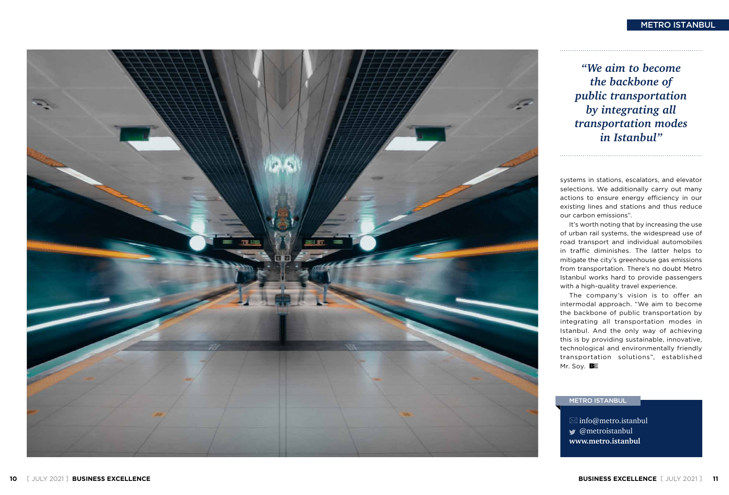

#### METRO ISTANBUL

systems in stations, escalators, and elevator selections. We additionally carry out many actions to ensure energy efficiency in our existing lines and stations and thus reduce our carbon emissions".

the backbone of public transportation by integrating all transportation modes in Istanbul. And the only way of achieving this is by providing sustainable, innovative, technological and environmentally friendly transportation solutions", established Mr. Soy.  $B\equiv$ 

It's worth noting that by increasing the use of urban rail systems, the widespread use of road transport and individual automobiles in traffic diminishes. The latter helps to mitigate the city's greenhouse gas emissions from transportation. There's no doubt Metro Istanbul works hard to provide passengers with a high-quality travel experience. The company's vision is to offer an intermodal approach. "We aim to become

 $\boxtimes$  info@metro.istanbul @metroistanbul **www.metro.istanbul**

#### METRO ISTANBUL

*"We aim to become the backbone of public transportation by integrating all transportation modes in Istanbul"*